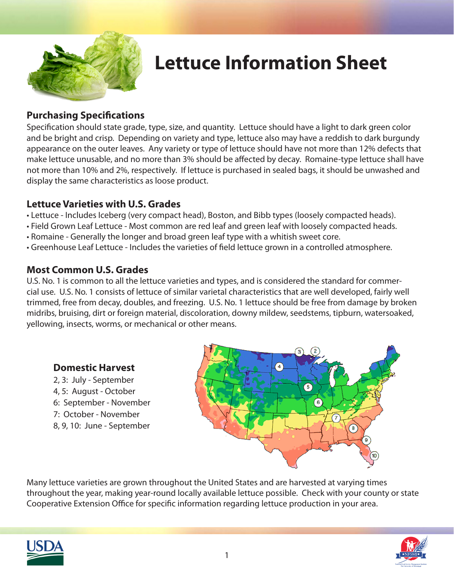

# **Lettuce Information Sheet**

### **Purchasing Specifications**

Specification should state grade, type, size, and quantity. Lettuce should have a light to dark green color and be bright and crisp. Depending on variety and type, lettuce also may have a reddish to dark burgundy appearance on the outer leaves. Any variety or type of lettuce should have not more than 12% defects that make lettuce unusable, and no more than 3% should be affected by decay. Romaine-type lettuce shall have not more than 10% and 2%, respectively. If lettuce is purchased in sealed bags, it should be unwashed and display the same characteristics as loose product.

#### **Lettuce Varieties with U.S. Grades**

- Lettuce Includes Iceberg (very compact head), Boston, and Bibb types (loosely compacted heads).
- Field Grown Leaf Lettuce Most common are red leaf and green leaf with loosely compacted heads.
- Romaine Generally the longer and broad green leaf type with a whitish sweet core.
- Greenhouse Leaf Lettuce Includes the varieties of field lettuce grown in a controlled atmosphere.

### **Most Common U.S. Grades**

U.S. No. 1 is common to all the lettuce varieties and types, and is considered the standard for commercial use. U.S. No. 1 consists of lettuce of similar varietal characteristics that are well developed, fairly well trimmed, free from decay, doubles, and freezing. U.S. No. 1 lettuce should be free from damage by broken midribs, bruising, dirt or foreign material, discoloration, downy mildew, seedstems, tipburn, watersoaked, yellowing, insects, worms, or mechanical or other means.

#### **Domestic Harvest**

- 2, 3: July September
- 4, 5: August October
- 6: September November
- 7: October November
- 8, 9, 10: June September



Many lettuce varieties are grown throughout the United States and are harvested at varying times throughout the year, making year-round locally available lettuce possible. Check with your county or state Cooperative Extension Office for specific information regarding lettuce production in your area.